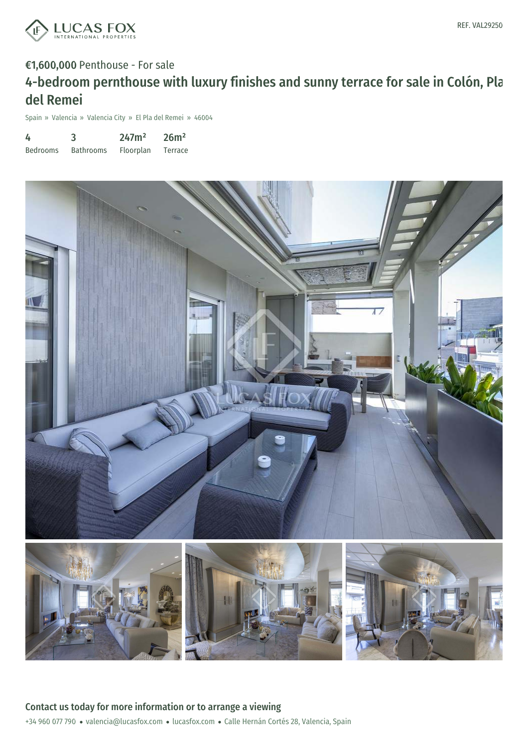

# €1,600,000 Penthouse - For sale 4-bedroom pernthouse with luxury finishes and sunny terrace for sale in Colón, Pla del Remei

Spain » Valencia » Valencia City » El Pla del Remei » 46004

| 4               | 3                | 247m <sup>2</sup> | 26m <sup>2</sup> |
|-----------------|------------------|-------------------|------------------|
| <b>Bedrooms</b> | <b>Bathrooms</b> | Floorplan         | Terrace          |

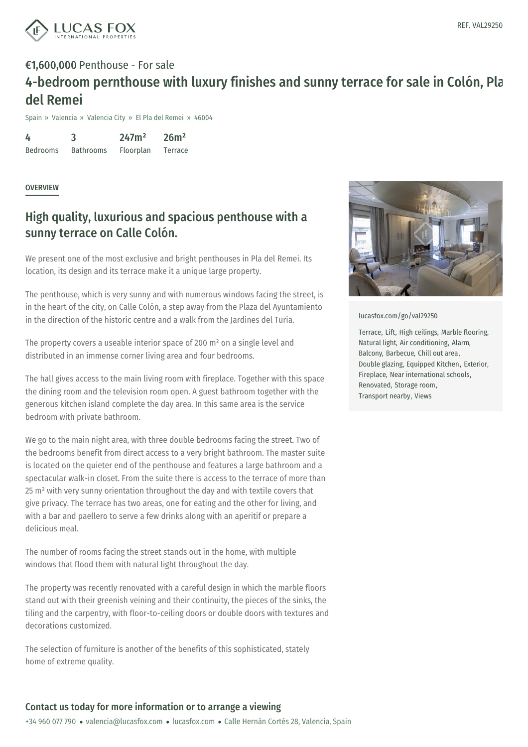

## €1,600,000 Penthouse - For sale 4-bedroom pernthouse with luxury finishes and sunny terrace for sale in Colón, Pla del Remei

Spain » Valencia » Valencia City » El Pla del Remei » 46004

4 Bedrooms 3 Bathrooms 247m² Floorplan 26m² Terrace

**OVERVIEW** 

### High quality, luxurious and spacious penthouse with a sunny terrace on Calle Colón.

We present one of the most exclusive and bright penthouses in Pla del Remei. Its location, its design and its terrace make it a unique large property.

The penthouse, which is very sunny and with numerous windows facing the street, is in the heart of the city, on Calle Colón, a step away from the Plaza del Ayuntamiento in the direction of the historic centre and a walk from the Jardines del Turia.

The property covers a useable interior space of 200 m<sup>2</sup> on a single level and distributed in an immense corner living area and four bedrooms.

The hall gives access to the main living room with fireplace. Together with this space the dining room and the television room open. A guest bathroom together with the generous kitchen island complete the day area. In this same area is the service bedroom with private bathroom.

We go to the main night area, with three double bedrooms facing the street. Two of the bedrooms benefit from direct access to a very bright bathroom. The master suite is located on the quieter end of the penthouse and features a large bathroom and a spectacular walk-in closet. From the suite there is access to the terrace of more than 25 m² with very sunny orientation throughout the day and with textile covers that give privacy. The terrace has two areas, one for eating and the other for living, and with a bar and paellero to serve a few drinks along with an aperitif or prepare a delicious meal.

The number of rooms facing the street stands out in the home, with multiple windows that flood them with natural light throughout the day.

The property was recently renovated with a careful design in which the marble floors stand out with their greenish veining and their continuity, the pieces of the sinks, the tiling and the carpentry, with floor-to-ceiling doors or double doors with textures and decorations customized.

The selection of furniture is another of the benefits of this sophisticated, stately home of extreme quality.



[lucasfox.com/go/val29250](https://www.lucasfox.com/go/val29250)

Terrace, Lift, High ceilings, Marble flooring, Natural light, Air conditioning, Alarm, Balcony, Barbecue, Chill out area, Double glazing, Equipped Kitchen, Exterior, Fireplace, Near international schools, Renovated, Storage room, Transport nearby, Views

#### Contact us today for more information or to arrange a viewing

+34 960 077 790 · valencia@lucasfox.com · lucasfox.com · Calle Hernán Cortés 28, Valencia, Spain